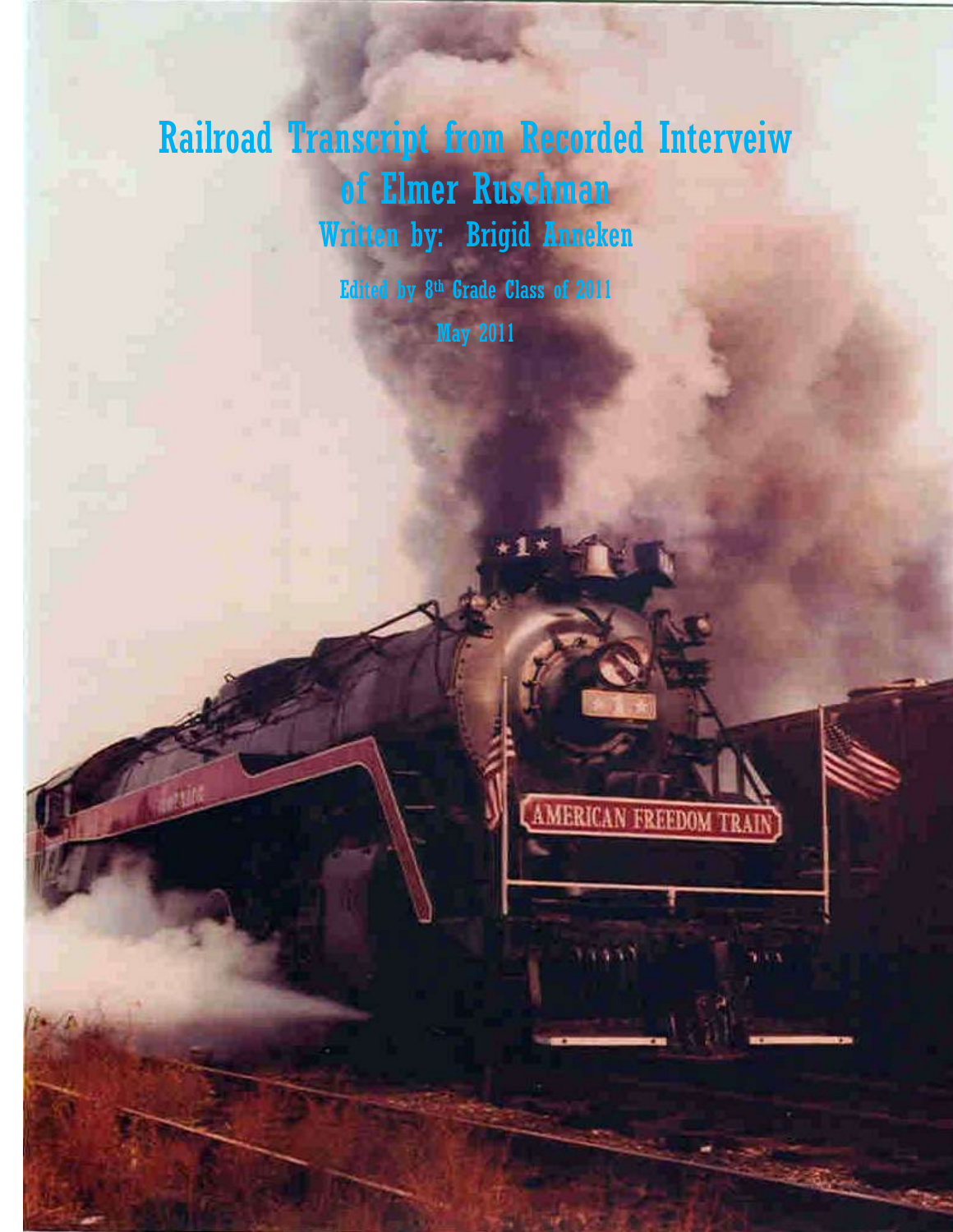## Railroad Transcript from Recorded Interveiw of Elmer Ruschman Written by: Brigid Anneken

Edited by 8th Grade Class of 2011 May 2011

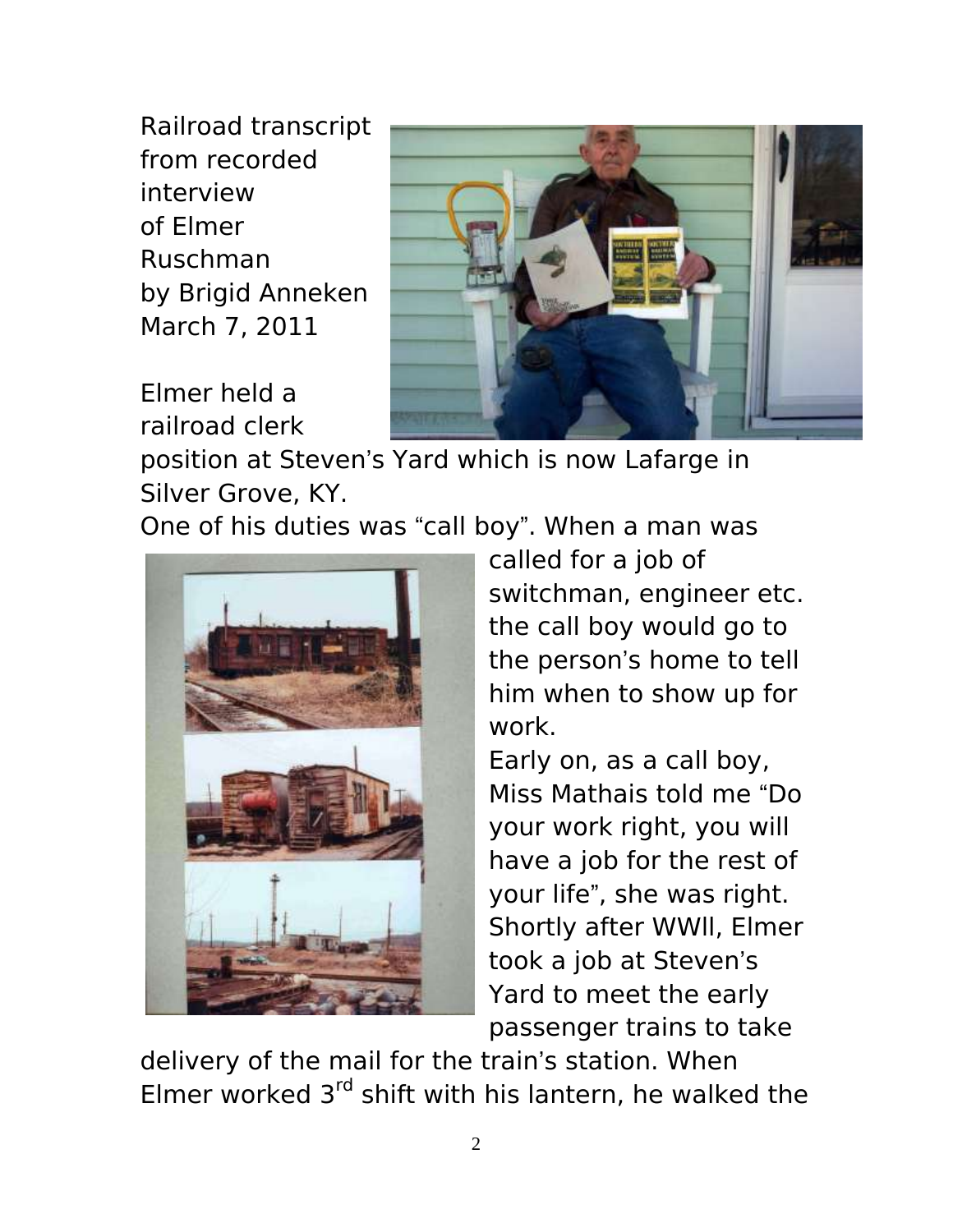Railroad transcript from recorded interview of Elmer Ruschman by Brigid Anneken March 7, 2011

Elmer held a railroad clerk



position at Steven's Yard which is now Lafarge in Silver Grove, KY.

One of his duties was "call boy". When a man was



called for a job of switchman, engineer etc. the call boy would go to the person's home to tell him when to show up for work.

Early on, as a call boy, Miss Mathais told me "Do your work right, you will have a job for the rest of your life", she was right. Shortly after WWll, Elmer took a job at Steven's Yard to meet the early passenger trains to take

delivery of the mail for the train's station. When Elmer worked  $3<sup>rd</sup>$  shift with his lantern, he walked the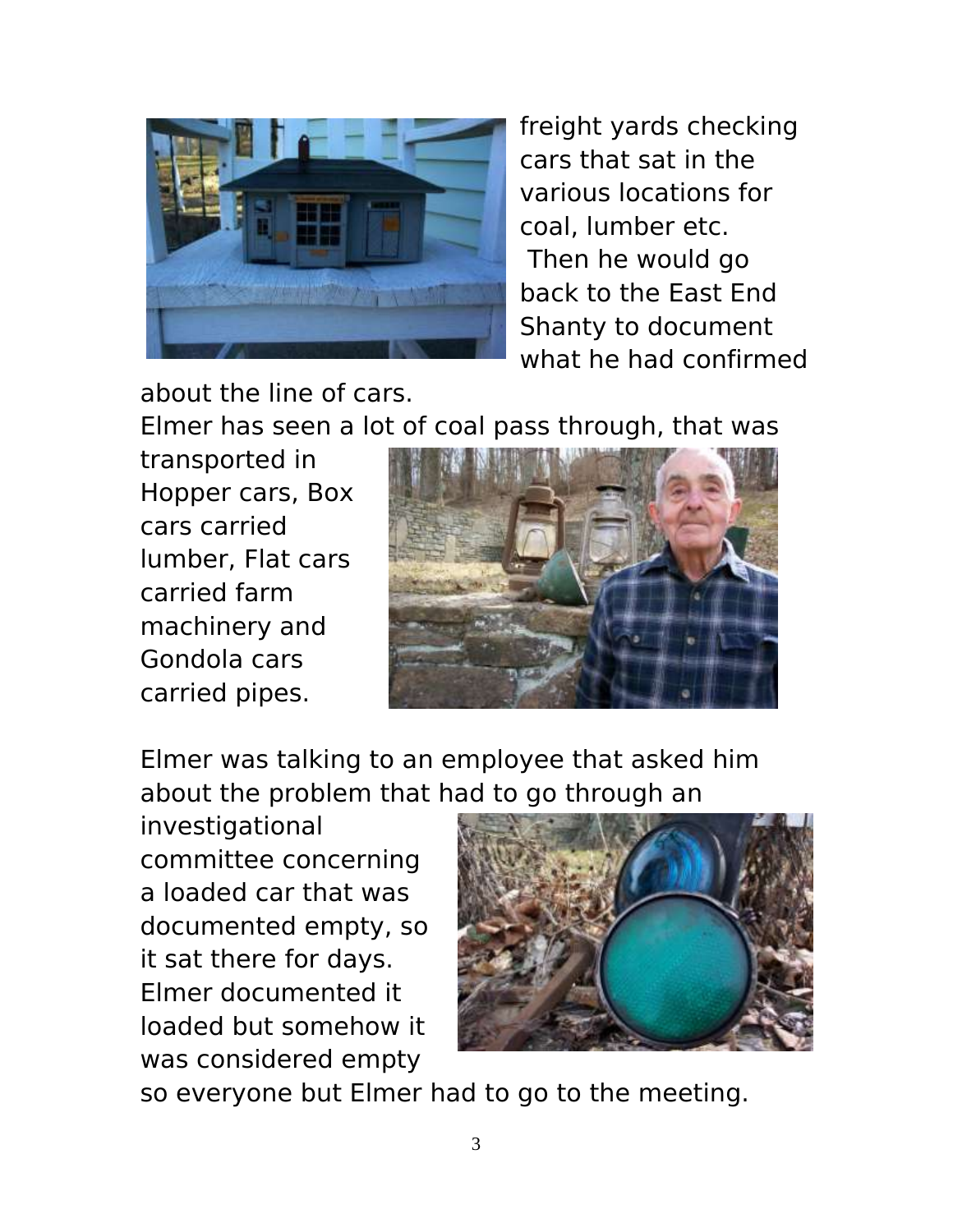

freight yards checking cars that sat in the various locations for coal, lumber etc. Then he would go back to the East End Shanty to document what he had confirmed

about the line of cars.

Elmer has seen a lot of coal pass through, that was

transported in Hopper cars, Box cars carried lumber, Flat cars carried farm machinery and Gondola cars carried pipes.



Elmer was talking to an employee that asked him about the problem that had to go through an

investigational committee concerning a loaded car that was documented empty, so it sat there for days. Elmer documented it loaded but somehow it was considered empty



so everyone but Elmer had to go to the meeting.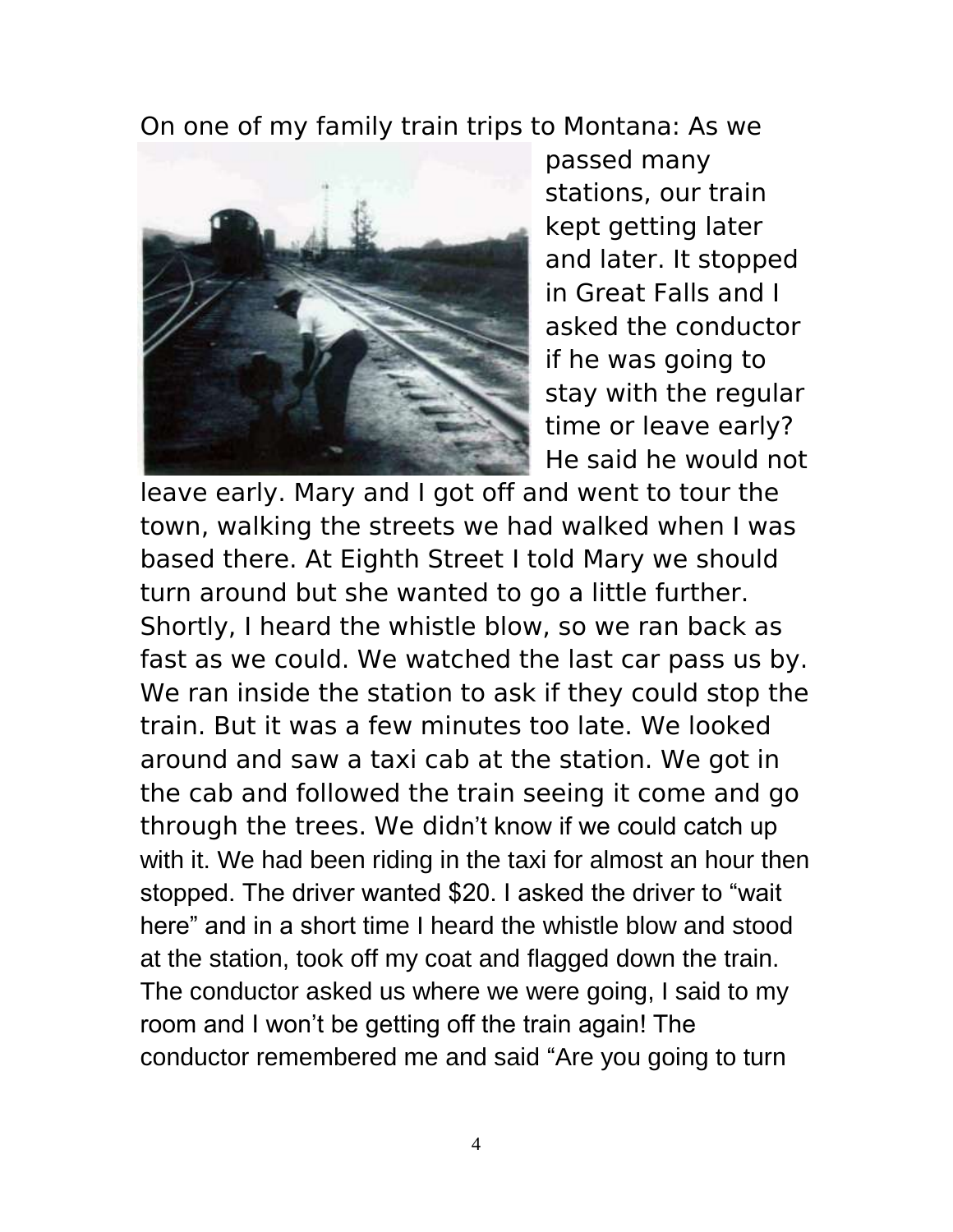On one of my family train trips to Montana: As we



passed many stations, our train kept getting later and later. It stopped in Great Falls and I asked the conductor if he was going to stay with the regular time or leave early? He said he would not

leave early. Mary and I got off and went to tour the town, walking the streets we had walked when I was based there. At Eighth Street I told Mary we should turn around but she wanted to go a little further. Shortly, I heard the whistle blow, so we ran back as fast as we could. We watched the last car pass us by. We ran inside the station to ask if they could stop the train. But it was a few minutes too late. We looked around and saw a taxi cab at the station. We got in the cab and followed the train seeing it come and go through the trees. We didn't know if we could catch up with it. We had been riding in the taxi for almost an hour then stopped. The driver wanted \$20. I asked the driver to "wait here" and in a short time I heard the whistle blow and stood at the station, took off my coat and flagged down the train. The conductor asked us where we were going, I said to my room and I won't be getting off the train again! The conductor remembered me and said "Are you going to turn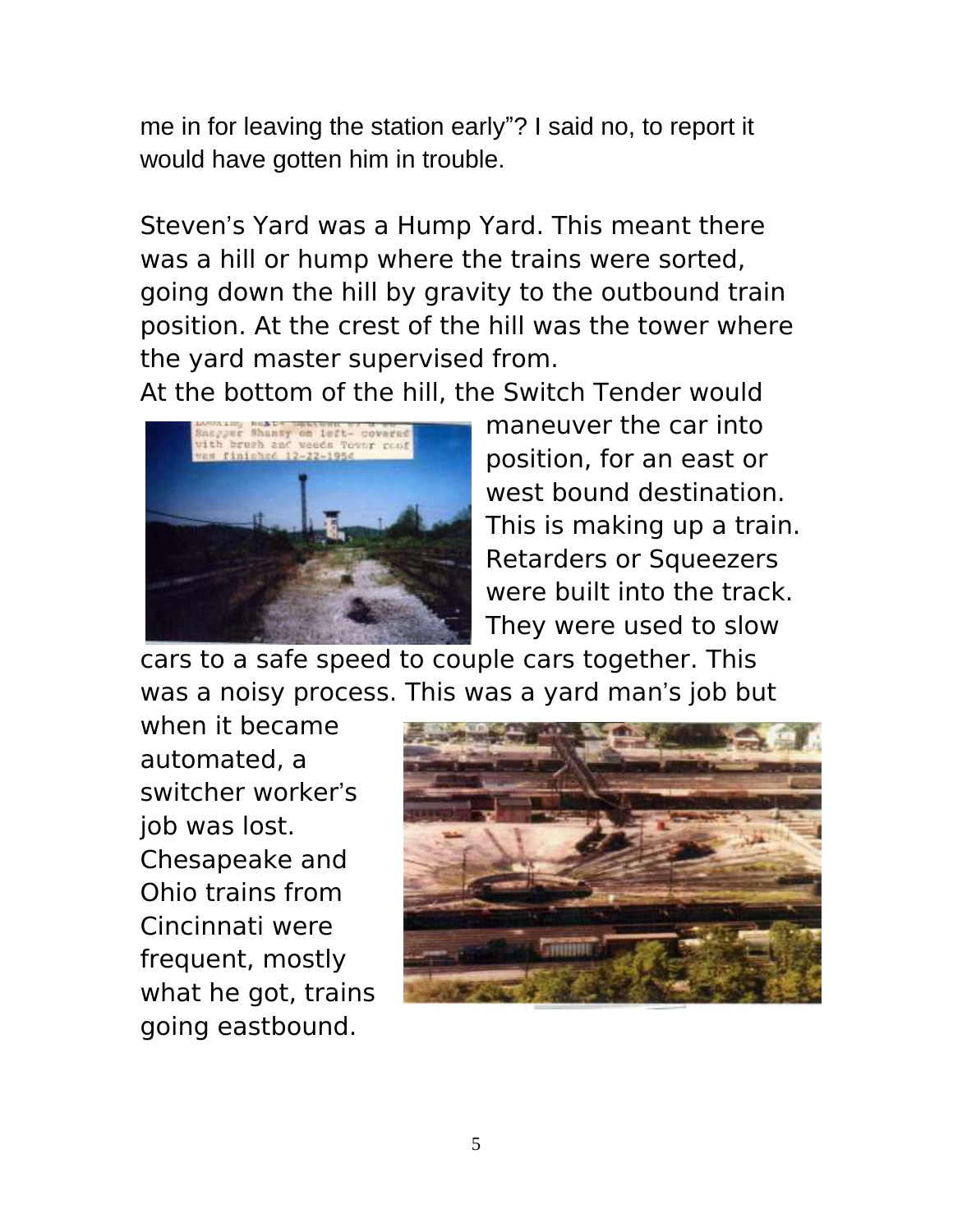me in for leaving the station early"? I said no, to report it would have gotten him in trouble.

Steven's Yard was a Hump Yard. This meant there was a hill or hump where the trains were sorted, going down the hill by gravity to the outbound train position. At the crest of the hill was the tower where the yard master supervised from.

At the bottom of the hill, the Switch Tender would



maneuver the car into position, for an east or west bound destination. This is making up a train. Retarders or Squeezers were built into the track. They were used to slow

cars to a safe speed to couple cars together. This was a noisy process. This was a yard man's job but

when it became automated, a switcher worker's job was lost. Chesapeake and Ohio trains from Cincinnati were frequent, mostly what he got, trains going eastbound.

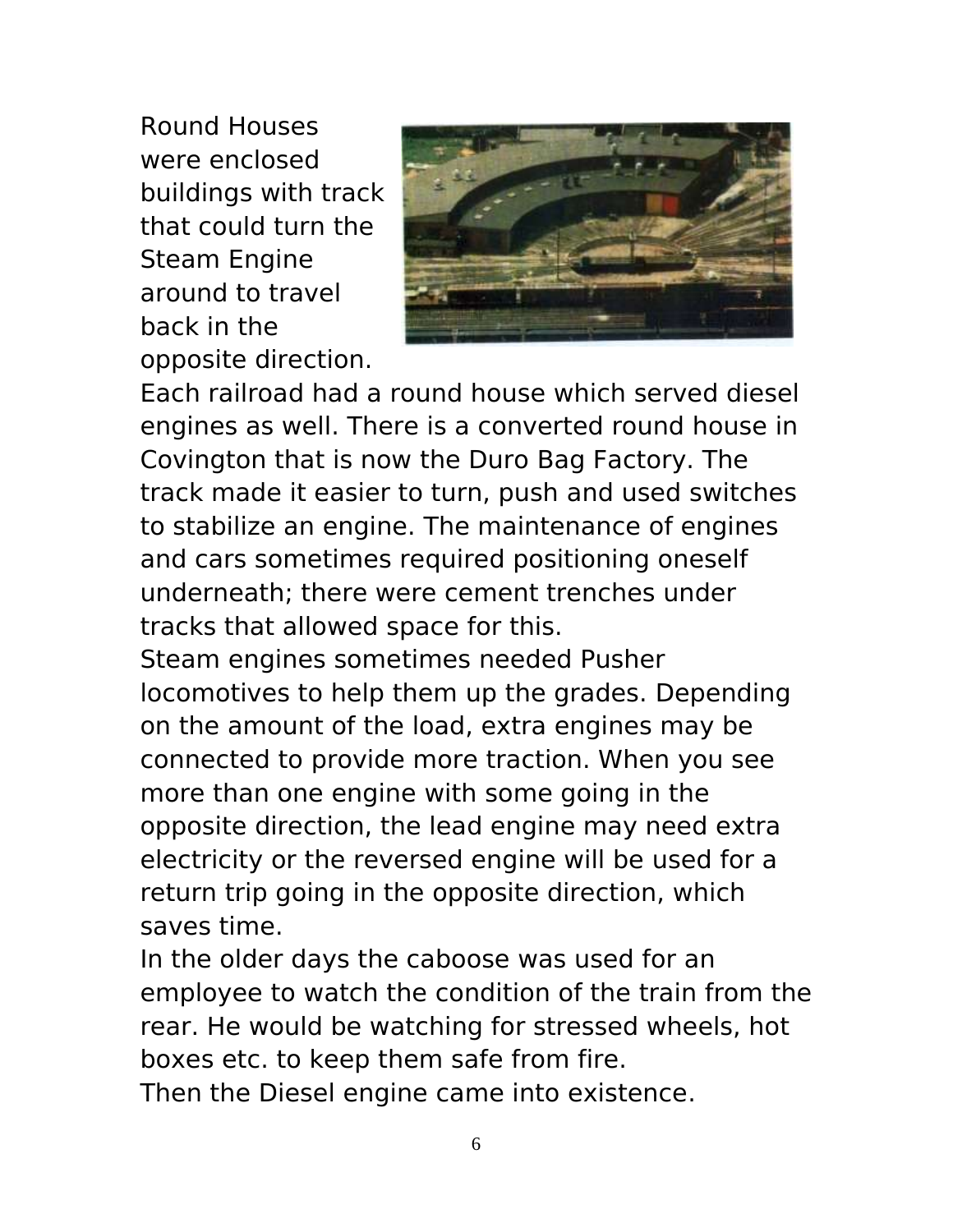Round Houses were enclosed buildings with track that could turn the Steam Engine around to travel back in the opposite direction.



Each railroad had a round house which served diesel engines as well. There is a converted round house in Covington that is now the Duro Bag Factory. The track made it easier to turn, push and used switches to stabilize an engine. The maintenance of engines and cars sometimes required positioning oneself underneath; there were cement trenches under tracks that allowed space for this.

Steam engines sometimes needed Pusher locomotives to help them up the grades. Depending on the amount of the load, extra engines may be connected to provide more traction. When you see more than one engine with some going in the opposite direction, the lead engine may need extra electricity or the reversed engine will be used for a return trip going in the opposite direction, which saves time.

In the older days the caboose was used for an employee to watch the condition of the train from the rear. He would be watching for stressed wheels, hot boxes etc. to keep them safe from fire. Then the Diesel engine came into existence.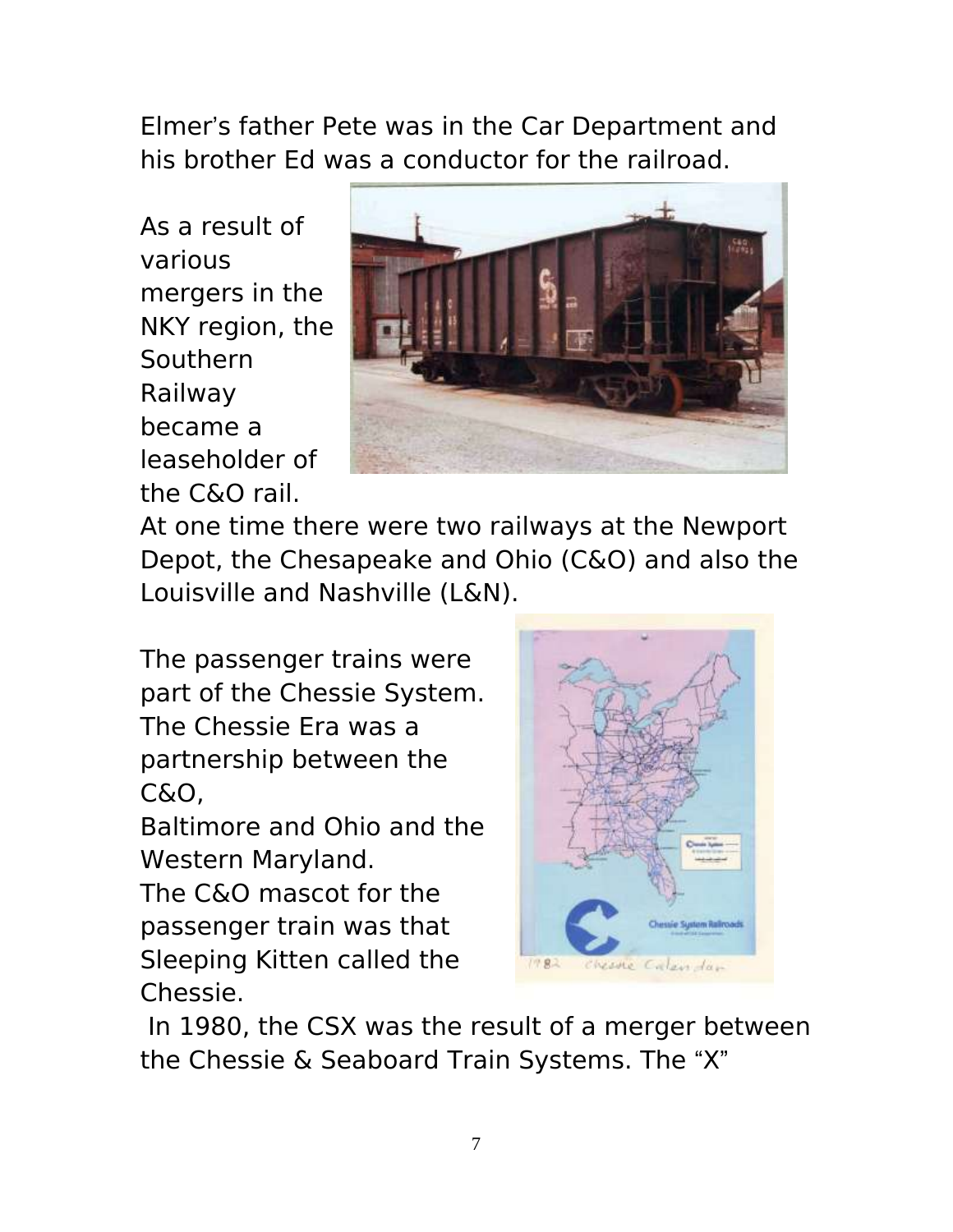Elmer's father Pete was in the Car Department and his brother Ed was a conductor for the railroad.

As a result of various mergers in the NKY region, the Southern Railway became a leaseholder of the C&O rail.



At one time there were two railways at the Newport Depot, the Chesapeake and Ohio (C&O) and also the Louisville and Nashville (L&N).

The passenger trains were part of the Chessie System. The Chessie Era was a partnership between the C&O,

Baltimore and Ohio and the Western Maryland.

The C&O mascot for the passenger train was that Sleeping Kitten called the Chessie.



In 1980, the CSX was the result of a merger between the Chessie & Seaboard Train Systems. The "X"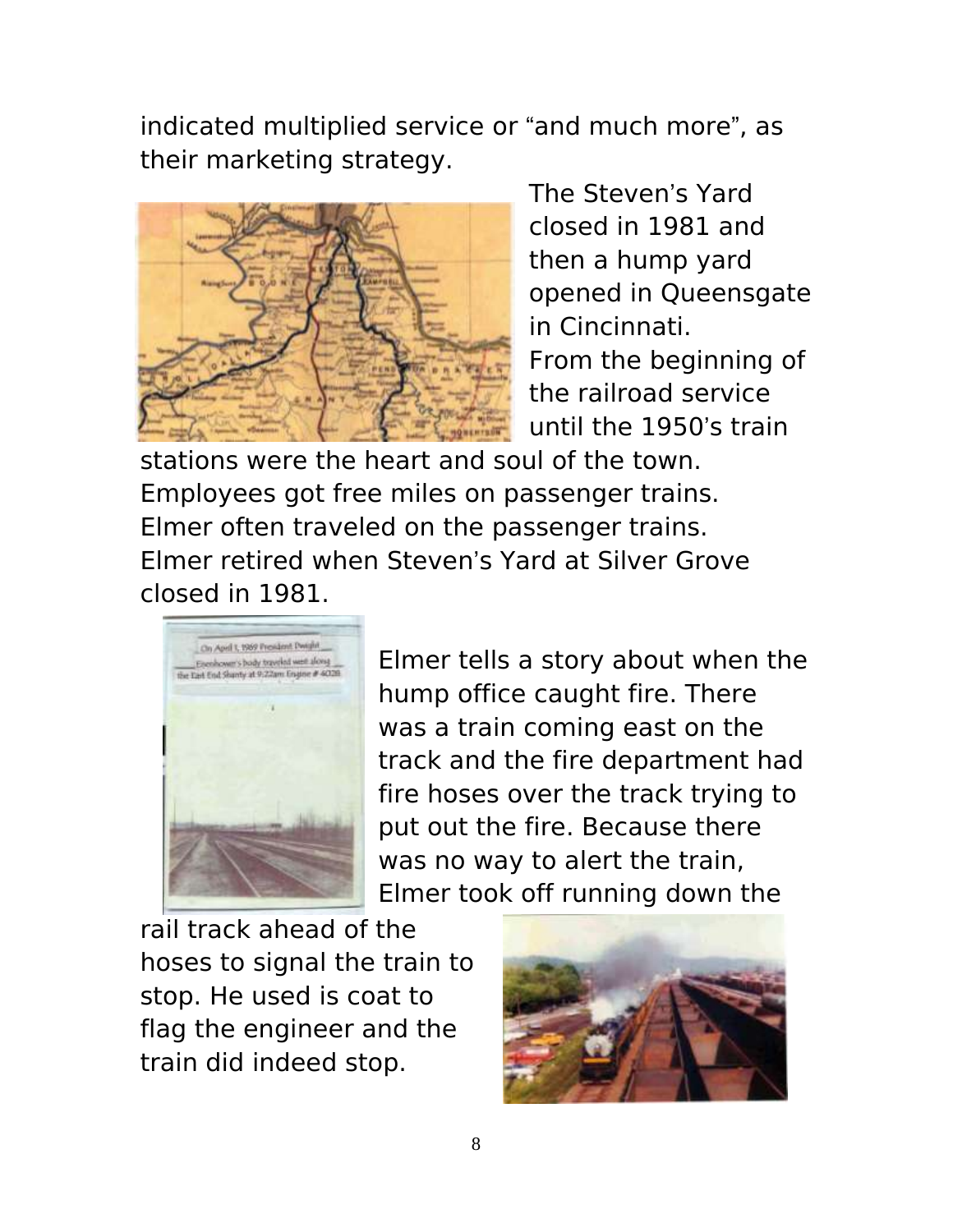indicated multiplied service or "and much more", as their marketing strategy.



The Steven's Yard closed in 1981 and then a hump yard opened in Queensgate in Cincinnati. From the beginning of the railroad service until the 1950's train

stations were the heart and soul of the town. Employees got free miles on passenger trains. Elmer often traveled on the passenger trains. Elmer retired when Steven's Yard at Silver Grove closed in 1981.



Elmer tells a story about when the hump office caught fire. There was a train coming east on the track and the fire department had fire hoses over the track trying to put out the fire. Because there was no way to alert the train, Elmer took off running down the

rail track ahead of the hoses to signal the train to stop. He used is coat to flag the engineer and the train did indeed stop.